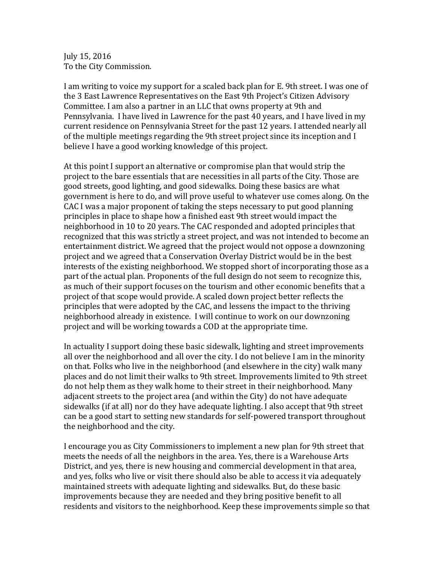July 15, 2016 To the City Commission.

I am writing to voice my support for a scaled back plan for E. 9th street. I was one of the 3 East Lawrence Representatives on the East 9th Project's Citizen Advisory Committee. I am also a partner in an LLC that owns property at 9th and Pennsylvania. I have lived in Lawrence for the past 40 years, and I have lived in my current residence on Pennsylvania Street for the past 12 years. I attended nearly all of the multiple meetings regarding the 9th street project since its inception and I believe I have a good working knowledge of this project.

At this point I support an alternative or compromise plan that would strip the project to the bare essentials that are necessities in all parts of the City. Those are good streets, good lighting, and good sidewalks. Doing these basics are what government is here to do, and will prove useful to whatever use comes along. On the CAC I was a major proponent of taking the steps necessary to put good planning principles in place to shape how a finished east 9th street would impact the neighborhood in 10 to 20 years. The CAC responded and adopted principles that recognized that this was strictly a street project, and was not intended to become an entertainment district. We agreed that the project would not oppose a downzoning project and we agreed that a Conservation Overlay District would be in the best interests of the existing neighborhood. We stopped short of incorporating those as a part of the actual plan. Proponents of the full design do not seem to recognize this, as much of their support focuses on the tourism and other economic benefits that a project of that scope would provide. A scaled down project better reflects the principles that were adopted by the CAC, and lessens the impact to the thriving neighborhood already in existence. I will continue to work on our downzoning project and will be working towards a COD at the appropriate time.

In actuality I support doing these basic sidewalk, lighting and street improvements all over the neighborhood and all over the city. I do not believe I am in the minority on that. Folks who live in the neighborhood (and elsewhere in the city) walk many places and do not limit their walks to 9th street. Improvements limited to 9th street do not help them as they walk home to their street in their neighborhood. Many adjacent streets to the project area (and within the City) do not have adequate sidewalks (if at all) nor do they have adequate lighting. I also accept that 9th street can be a good start to setting new standards for self-powered transport throughout the neighborhood and the city.

I encourage you as City Commissioners to implement a new plan for 9th street that meets the needs of all the neighbors in the area. Yes, there is a Warehouse Arts District, and yes, there is new housing and commercial development in that area, and yes, folks who live or visit there should also be able to access it via adequately maintained streets with adequate lighting and sidewalks. But, do these basic improvements because they are needed and they bring positive benefit to all residents and visitors to the neighborhood. Keep these improvements simple so that